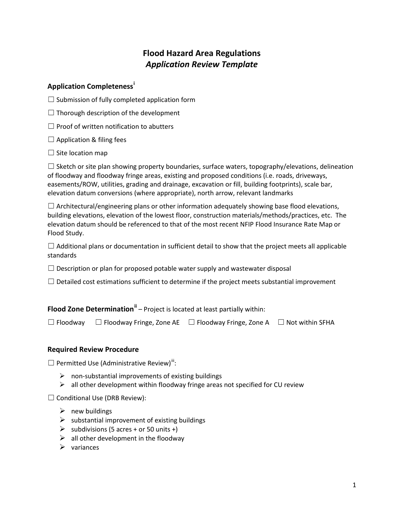# **Flood Hazard Area Regulations** *Application Review Template*

# **Application Completeness[i](#page-3-0)**

 $\Box$  Submission of fully completed application form

 $\Box$  Thorough description of the development

 $\Box$  Proof of written notification to abutters

 $\Box$  Application & filing fees

 $\Box$  Site location map

 $\Box$  Sketch or site plan showing property boundaries, surface waters, topography/elevations, delineation of floodway and floodway fringe areas, existing and proposed conditions (i.e. roads, driveways, easements/ROW, utilities, grading and drainage, excavation or fill, building footprints), scale bar, elevation datum conversions (where appropriate), north arrow, relevant landmarks

 $\Box$  Architectural/engineering plans or other information adequately showing base flood elevations, building elevations, elevation of the lowest floor, construction materials/methods/practices, etc. The elevation datum should be referenced to that of the most recent NFIP Flood Insurance Rate Map or Flood Study.

 $\Box$  Additional plans or documentation in sufficient detail to show that the project meets all applicable standards

 $\Box$  Description or plan for proposed potable water supply and wastewater disposal

 $\Box$  Detailed cost estimations sufficient to determine if the project meets substantial improvement

**Flood Zone Determination<sup>[ii](#page-3-1)</sup>** – Project is located at least partially within:

☐ Floodway ☐ Floodway Fringe, Zone AE ☐ Floodway Fringe, Zone A ☐ Not within SFHA

# **Required Review Procedure**

 $\Box$  Permitted Use (Administrative Review)<sup>[iii](#page-3-2)</sup>:

- $\triangleright$  non-substantial improvements of existing buildings
- $\triangleright$  all other development within floodway fringe areas not specified for CU review

 $\Box$  Conditional Use (DRB Review):

- $\triangleright$  new buildings
- $\triangleright$  substantial improvement of existing buildings
- $\triangleright$  subdivisions (5 acres + or 50 units +)
- $\triangleright$  all other development in the floodway
- $\triangleright$  variances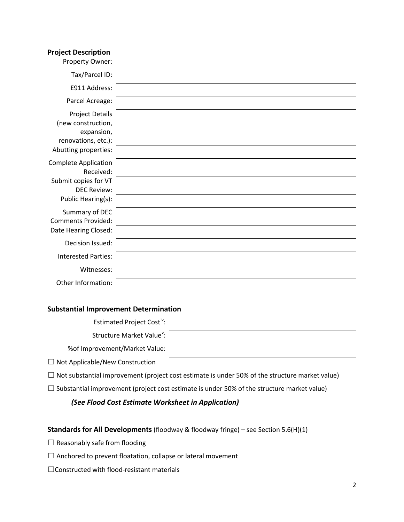#### **Project Description**

| Property Owner:                                                                                           |  |
|-----------------------------------------------------------------------------------------------------------|--|
| Tax/Parcel ID:                                                                                            |  |
| E911 Address:                                                                                             |  |
| Parcel Acreage:                                                                                           |  |
| <b>Project Details</b><br>(new construction,<br>expansion,<br>renovations, etc.):<br>Abutting properties: |  |
| <b>Complete Application</b><br>Received:                                                                  |  |
| Submit copies for VT<br><b>DEC Review:</b><br>Public Hearing(s):                                          |  |
| Summary of DEC<br><b>Comments Provided:</b>                                                               |  |
| Date Hearing Closed:                                                                                      |  |
| Decision Issued:                                                                                          |  |
| <b>Interested Parties:</b>                                                                                |  |
| Witnesses:                                                                                                |  |
| Other Information:                                                                                        |  |

### **Substantial Improvement Determination**

Estimated Project Cost<sup>[iv](#page-3-3)</sup>:

Structure Market Value<sup>[v](#page-3-4)</sup>:

%of Improvement/Market Value:

☐ Not Applicable/New Construction

 $\Box$  Not substantial improvement (project cost estimate is under 50% of the structure market value)

 $\Box$  Substantial improvement (project cost estimate is under 50% of the structure market value)

## *(See Flood Cost Estimate Worksheet in Application)*

### **Standards for All Developments** (floodway & floodway fringe) – see Section 5.6(H)(1)

 $\Box$  Reasonably safe from flooding

- □ Anchored to prevent floatation, collapse or lateral movement
- ☐Constructed with flood-resistant materials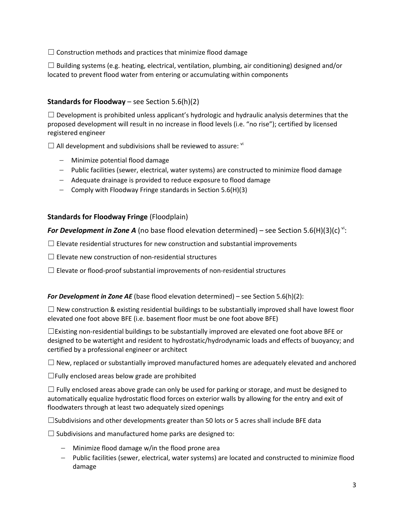$\Box$  Construction methods and practices that minimize flood damage

 $\Box$  Building systems (e.g. heating, electrical, ventilation, plumbing, air conditioning) designed and/or located to prevent flood water from entering or accumulating within components

# **Standards for Floodway** – see Section 5.6(h)(2)

 $\Box$  Development is prohibited unless applicant's hydrologic and hydraulic analysis determines that the proposed development will result in no increase in flood levels (i.e. "no rise"); certified by licensed registered engineer

 $\Box$  All development and subdivisions shall be reviewed to assure:  $\mathrm{N}$ 

- − Minimize potential flood damage
- − Public facilities (sewer, electrical, water systems) are constructed to minimize flood damage
- − Adequate drainage is provided to reduce exposure to flood damage
- − Comply with Floodway Fringe standards in Section 5.6(H)(3)

# **Standards for Floodway Fringe** (Floodplain)

*For Development in Zone A* (no base flood elevation determined) – see Section 5.6(H)(3)(c) [vi](#page-3-5):

 $\Box$  Elevate residential structures for new construction and substantial improvements

 $\Box$  Elevate new construction of non-residential structures

 $\Box$  Elevate or flood-proof substantial improvements of non-residential structures

#### *For Development in Zone AE* (base flood elevation determined) – see Section 5.6(h)(2):

 $\Box$  New construction & existing residential buildings to be substantially improved shall have lowest floor elevated one foot above BFE (i.e. basement floor must be one foot above BFE)

 $\Box$ Existing non-residential buildings to be substantially improved are elevated one foot above BFE or designed to be watertight and resident to hydrostatic/hydrodynamic loads and effects of buoyancy; and certified by a professional engineer or architect

 $\Box$  New, replaced or substantially improved manufactured homes are adequately elevated and anchored

 $\Box$  Fully enclosed areas below grade are prohibited

 $\Box$  Fully enclosed areas above grade can only be used for parking or storage, and must be designed to automatically equalize hydrostatic flood forces on exterior walls by allowing for the entry and exit of floodwaters through at least two adequately sized openings

☐Subdivisions and other developments greater than 50 lots or 5 acres shall include BFE data

 $\Box$  Subdivisions and manufactured home parks are designed to:

- − Minimize flood damage w/in the flood prone area
- − Public facilities (sewer, electrical, water systems) are located and constructed to minimize flood damage